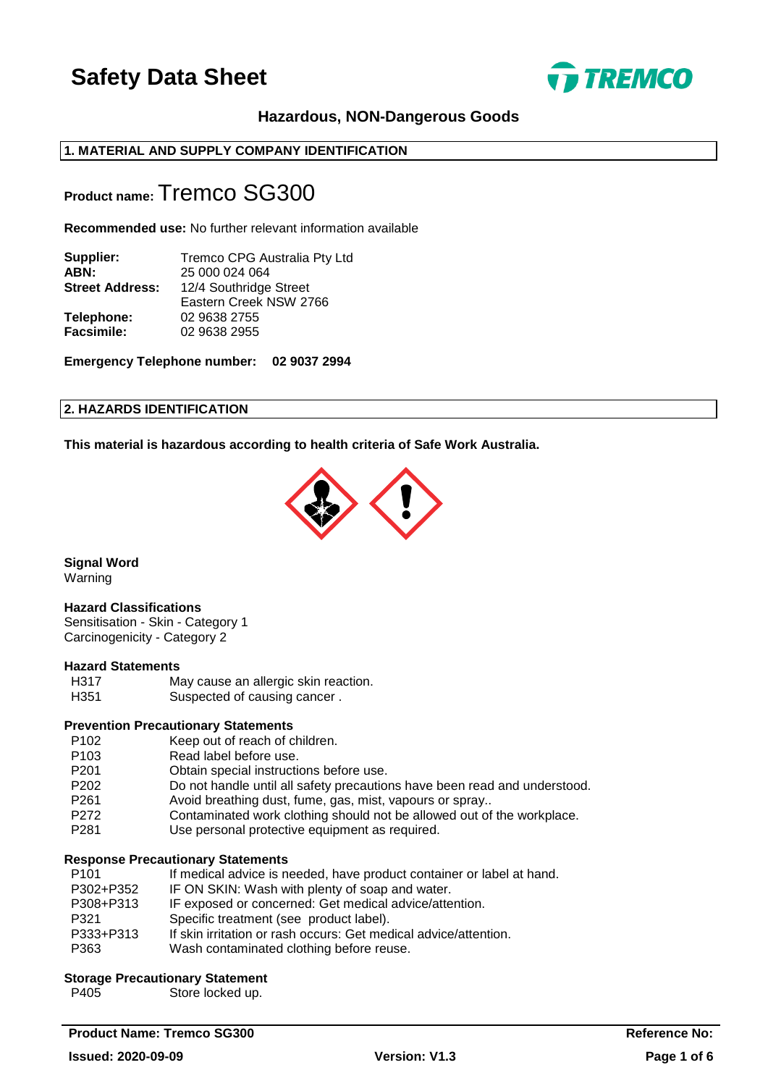

## **Hazardous, NON-Dangerous Goods**

## **1. MATERIAL AND SUPPLY COMPANY IDENTIFICATION**

## **Product name:** Tremco SG300

**Recommended use:** No further relevant information available

| Supplier:              | Tremco CPG Australia Pty Ltd |
|------------------------|------------------------------|
| ABN:                   | 25 000 024 064               |
| <b>Street Address:</b> | 12/4 Southridge Street       |
|                        | Eastern Creek NSW 2766       |
| Telephone:             | 02 9638 2755                 |
| <b>Facsimile:</b>      | 02 9638 2955                 |
|                        |                              |

**Emergency Telephone number: 02 9037 2994**

## **2. HAZARDS IDENTIFICATION**

**This material is hazardous according to health criteria of Safe Work Australia.**



**Signal Word**

Warning

#### **Hazard Classifications**

Sensitisation - Skin - Category 1 Carcinogenicity - Category 2

## **Hazard Statements**

H317 May cause an allergic skin reaction.

H351 Suspected of causing cancer.

## **Prevention Precautionary Statements**

- P102 Keep out of reach of children.<br>P103 Read label before use.
- Read label before use.
- P201 Obtain special instructions before use.
- P202 Do not handle until all safety precautions have been read and understood.
- P261 Avoid breathing dust, fume, gas, mist, vapours or spray..
- P272 Contaminated work clothing should not be allowed out of the workplace.
- P281 Use personal protective equipment as required.

#### **Response Precautionary Statements**

| P <sub>101</sub> | If medical advice is needed, have product container or label at hand. |
|------------------|-----------------------------------------------------------------------|
| P302+P352        | IF ON SKIN: Wash with plenty of soap and water.                       |
| P308+P313        | IF exposed or concerned: Get medical advice/attention.                |
| P321             | Specific treatment (see product label).                               |
| P333+P313        | If skin irritation or rash occurs: Get medical advice/attention.      |
| P363             | Wash contaminated clothing before reuse.                              |
|                  |                                                                       |

### **Storage Precautionary Statement**

P405 Store locked up.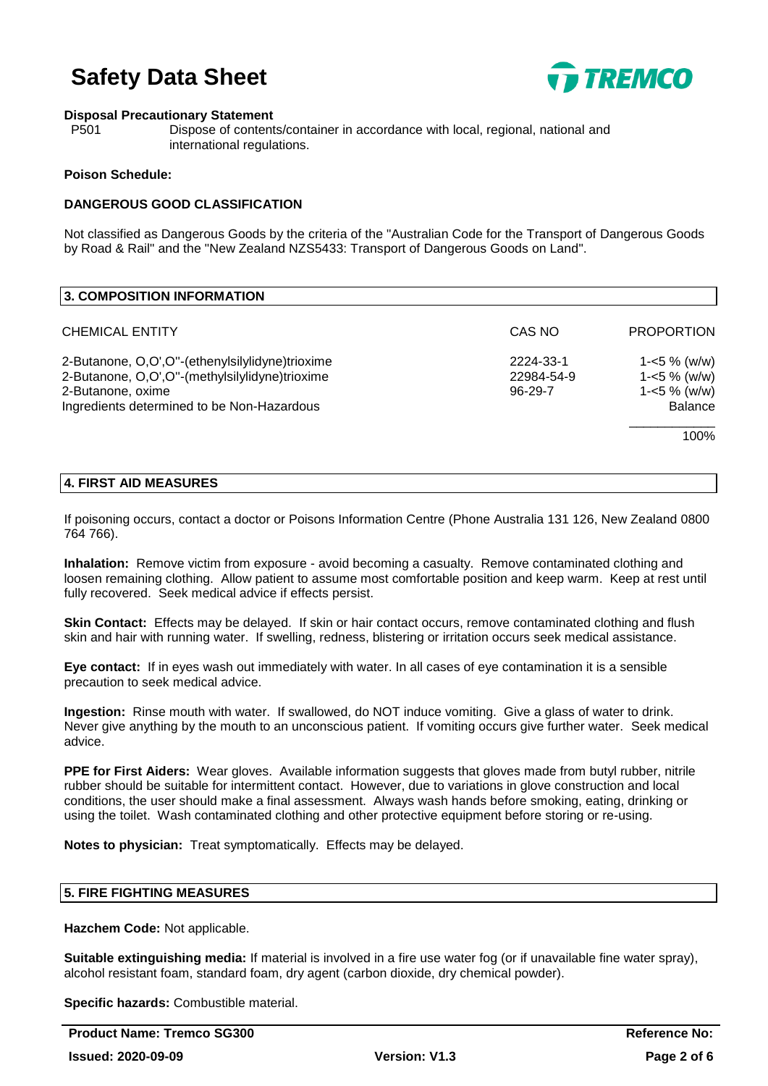

#### **Disposal Precautionary Statement**

P501 Dispose of contents/container in accordance with local, regional, national and international regulations.

#### **Poison Schedule:**

## **DANGEROUS GOOD CLASSIFICATION**

Not classified as Dangerous Goods by the criteria of the "Australian Code for the Transport of Dangerous Goods by Road & Rail" and the "New Zealand NZS5433: Transport of Dangerous Goods on Land".

| <b>3. COMPOSITION INFORMATION</b>                                                                                                                                    |                                          |                                                                            |
|----------------------------------------------------------------------------------------------------------------------------------------------------------------------|------------------------------------------|----------------------------------------------------------------------------|
| <b>CHEMICAL ENTITY</b>                                                                                                                                               | CAS NO                                   | <b>PROPORTION</b>                                                          |
| 2-Butanone, O,O',O"-(ethenylsilylidyne)trioxime<br>2-Butanone, O,O',O"-(methylsilylidyne)trioxime<br>2-Butanone, oxime<br>Ingredients determined to be Non-Hazardous | 2224-33-1<br>22984-54-9<br>$96 - 29 - 7$ | $1 - 5 \%$ (w/w)<br>$1 - 5 \%$ (w/w)<br>$1 - 5 \%$ (w/w)<br><b>Balance</b> |
|                                                                                                                                                                      |                                          | 100%                                                                       |

### **4. FIRST AID MEASURES**

If poisoning occurs, contact a doctor or Poisons Information Centre (Phone Australia 131 126, New Zealand 0800 764 766).

**Inhalation:** Remove victim from exposure - avoid becoming a casualty. Remove contaminated clothing and loosen remaining clothing. Allow patient to assume most comfortable position and keep warm. Keep at rest until fully recovered. Seek medical advice if effects persist.

**Skin Contact:** Effects may be delayed. If skin or hair contact occurs, remove contaminated clothing and flush skin and hair with running water. If swelling, redness, blistering or irritation occurs seek medical assistance.

**Eye contact:** If in eyes wash out immediately with water. In all cases of eye contamination it is a sensible precaution to seek medical advice.

**Ingestion:** Rinse mouth with water. If swallowed, do NOT induce vomiting. Give a glass of water to drink. Never give anything by the mouth to an unconscious patient. If vomiting occurs give further water. Seek medical advice.

**PPE for First Aiders:** Wear gloves. Available information suggests that gloves made from butyl rubber, nitrile rubber should be suitable for intermittent contact. However, due to variations in glove construction and local conditions, the user should make a final assessment. Always wash hands before smoking, eating, drinking or using the toilet. Wash contaminated clothing and other protective equipment before storing or re-using.

**Notes to physician:** Treat symptomatically. Effects may be delayed.

#### **5. FIRE FIGHTING MEASURES**

**Hazchem Code:** Not applicable.

**Suitable extinguishing media:** If material is involved in a fire use water fog (or if unavailable fine water spray), alcohol resistant foam, standard foam, dry agent (carbon dioxide, dry chemical powder).

**Specific hazards:** Combustible material.

**Product Name: Tremco SG300 Reference No: Reference No: Reference No:**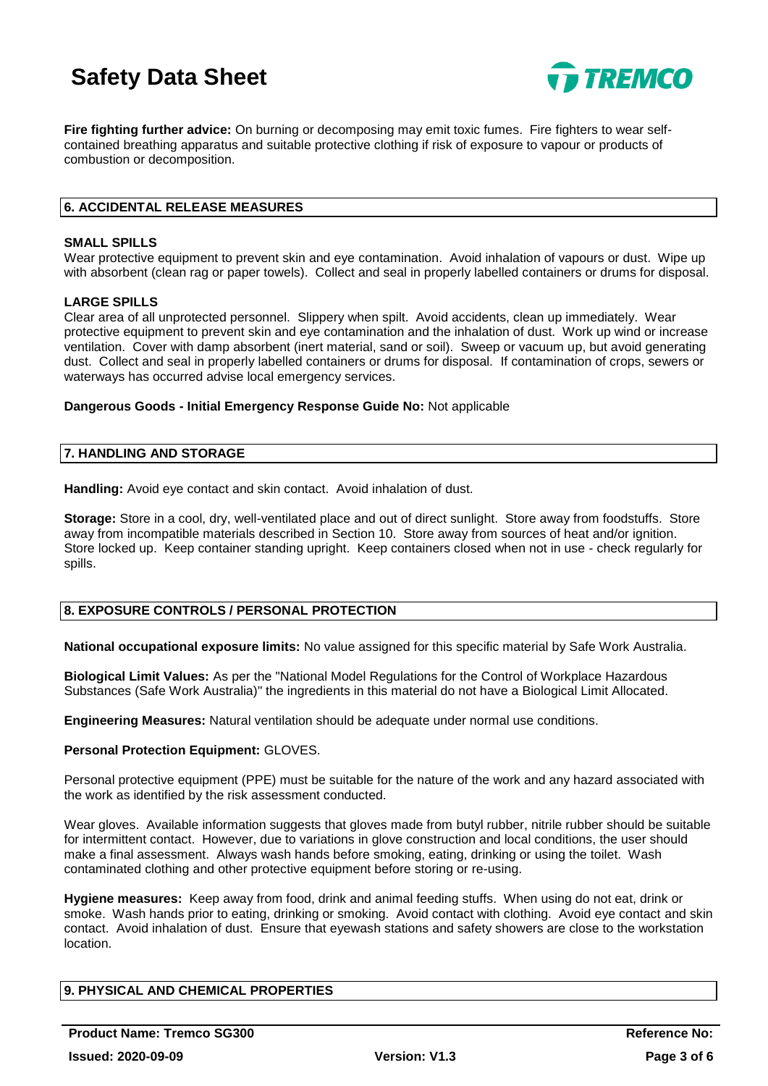

**Fire fighting further advice:** On burning or decomposing may emit toxic fumes. Fire fighters to wear selfcontained breathing apparatus and suitable protective clothing if risk of exposure to vapour or products of combustion or decomposition.

## **6. ACCIDENTAL RELEASE MEASURES**

#### **SMALL SPILLS**

Wear protective equipment to prevent skin and eye contamination. Avoid inhalation of vapours or dust. Wipe up with absorbent (clean rag or paper towels). Collect and seal in properly labelled containers or drums for disposal.

#### **LARGE SPILLS**

Clear area of all unprotected personnel. Slippery when spilt. Avoid accidents, clean up immediately. Wear protective equipment to prevent skin and eye contamination and the inhalation of dust. Work up wind or increase ventilation. Cover with damp absorbent (inert material, sand or soil). Sweep or vacuum up, but avoid generating dust. Collect and seal in properly labelled containers or drums for disposal. If contamination of crops, sewers or waterways has occurred advise local emergency services.

**Dangerous Goods - Initial Emergency Response Guide No:** Not applicable

#### **7. HANDLING AND STORAGE**

**Handling:** Avoid eye contact and skin contact. Avoid inhalation of dust.

**Storage:** Store in a cool, dry, well-ventilated place and out of direct sunlight. Store away from foodstuffs. Store away from incompatible materials described in Section 10. Store away from sources of heat and/or ignition. Store locked up. Keep container standing upright. Keep containers closed when not in use - check regularly for spills.

#### **8. EXPOSURE CONTROLS / PERSONAL PROTECTION**

**National occupational exposure limits:** No value assigned for this specific material by Safe Work Australia.

**Biological Limit Values:** As per the "National Model Regulations for the Control of Workplace Hazardous Substances (Safe Work Australia)" the ingredients in this material do not have a Biological Limit Allocated.

**Engineering Measures:** Natural ventilation should be adequate under normal use conditions.

#### **Personal Protection Equipment:** GLOVES.

Personal protective equipment (PPE) must be suitable for the nature of the work and any hazard associated with the work as identified by the risk assessment conducted.

Wear gloves. Available information suggests that gloves made from butyl rubber, nitrile rubber should be suitable for intermittent contact. However, due to variations in glove construction and local conditions, the user should make a final assessment. Always wash hands before smoking, eating, drinking or using the toilet. Wash contaminated clothing and other protective equipment before storing or re-using.

**Hygiene measures:** Keep away from food, drink and animal feeding stuffs. When using do not eat, drink or smoke. Wash hands prior to eating, drinking or smoking. Avoid contact with clothing. Avoid eye contact and skin contact. Avoid inhalation of dust. Ensure that eyewash stations and safety showers are close to the workstation location.

## **9. PHYSICAL AND CHEMICAL PROPERTIES**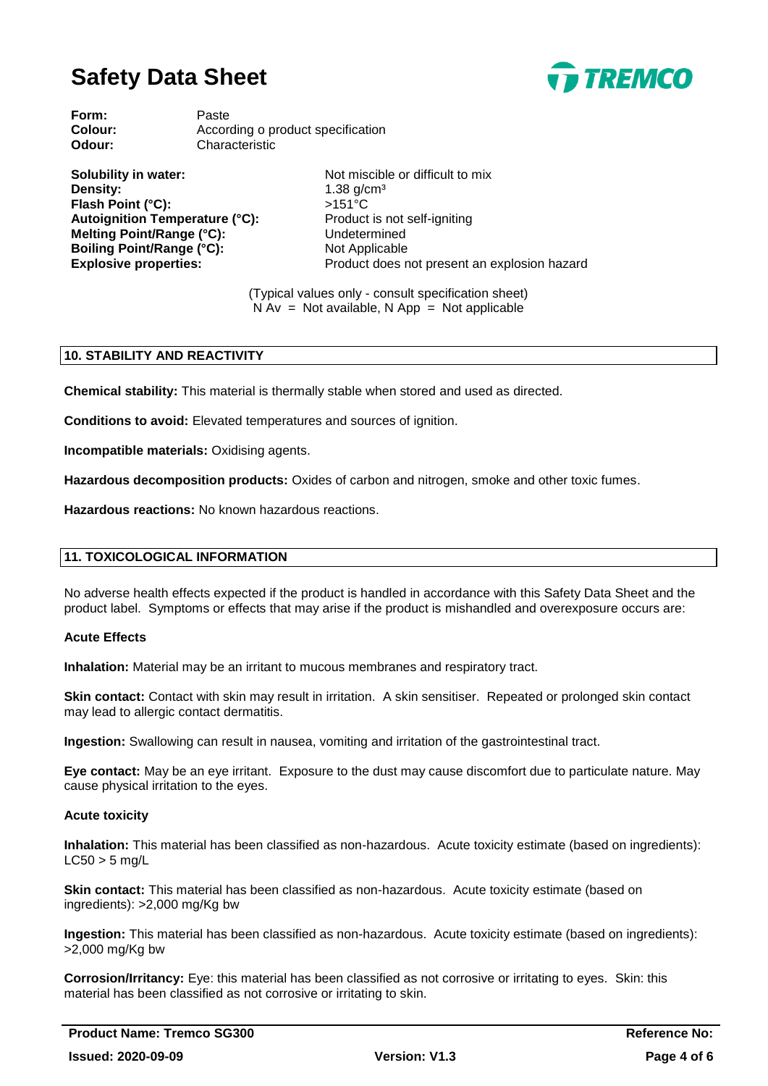

**Form:** Paste **Colour:** According o product specification **Odour:** Characteristic

**Solubility in water:** Not miscible or difficult to mix **Density:** 1.38 g/cm<sup>3</sup> Flash Point (°C): >151°C Autoignition Temperature (°C): Product is not self-igniting **Melting Point/Range (°C):** Undetermined **Boiling Point/Range (°C):** Not Applicable

**Explosive properties:** Product does not present an explosion hazard

(Typical values only - consult specification sheet)  $N Av = Not available, N App = Not applicable$ 

## **10. STABILITY AND REACTIVITY**

**Chemical stability:** This material is thermally stable when stored and used as directed.

**Conditions to avoid:** Elevated temperatures and sources of ignition.

**Incompatible materials:** Oxidising agents.

**Hazardous decomposition products:** Oxides of carbon and nitrogen, smoke and other toxic fumes.

**Hazardous reactions:** No known hazardous reactions.

#### **11. TOXICOLOGICAL INFORMATION**

No adverse health effects expected if the product is handled in accordance with this Safety Data Sheet and the product label. Symptoms or effects that may arise if the product is mishandled and overexposure occurs are:

#### **Acute Effects**

**Inhalation:** Material may be an irritant to mucous membranes and respiratory tract.

**Skin contact:** Contact with skin may result in irritation. A skin sensitiser. Repeated or prolonged skin contact may lead to allergic contact dermatitis.

**Ingestion:** Swallowing can result in nausea, vomiting and irritation of the gastrointestinal tract.

**Eye contact:** May be an eye irritant. Exposure to the dust may cause discomfort due to particulate nature. May cause physical irritation to the eyes.

#### **Acute toxicity**

**Inhalation:** This material has been classified as non-hazardous. Acute toxicity estimate (based on ingredients):  $LC50 > 5$  mg/L

**Skin contact:** This material has been classified as non-hazardous. Acute toxicity estimate (based on ingredients): >2,000 mg/Kg bw

**Ingestion:** This material has been classified as non-hazardous. Acute toxicity estimate (based on ingredients): >2,000 mg/Kg bw

**Corrosion/Irritancy:** Eye: this material has been classified as not corrosive or irritating to eyes. Skin: this material has been classified as not corrosive or irritating to skin.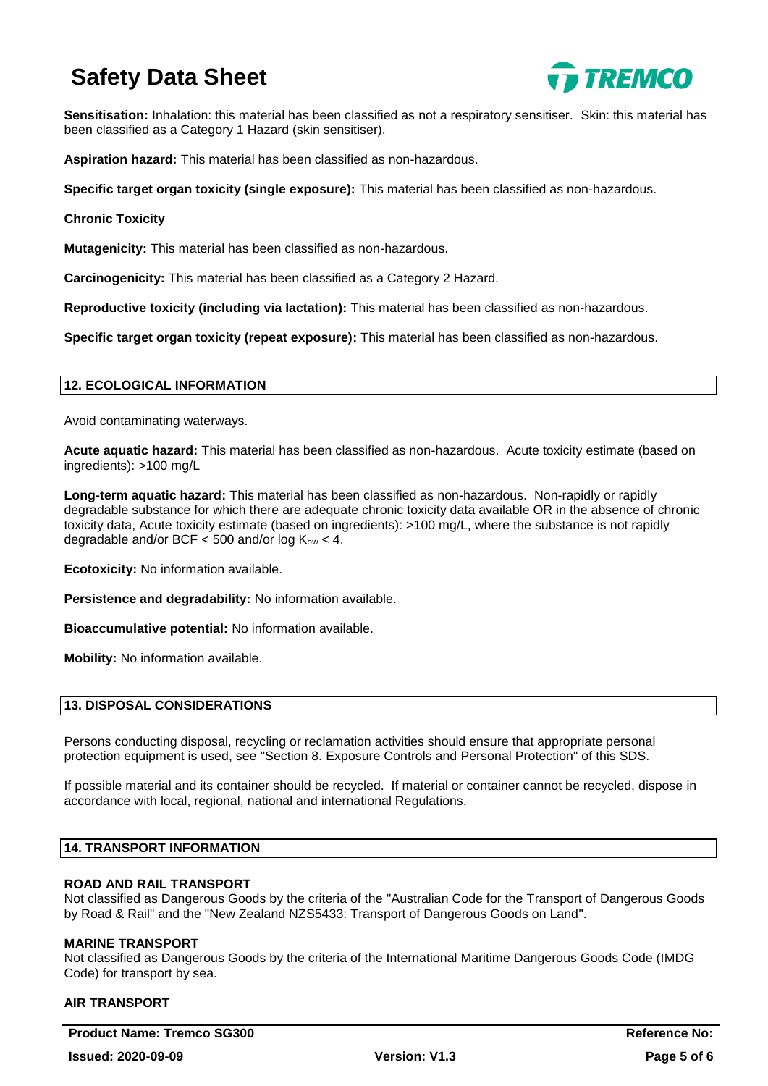

**Sensitisation:** Inhalation: this material has been classified as not a respiratory sensitiser. Skin: this material has been classified as a Category 1 Hazard (skin sensitiser).

**Aspiration hazard:** This material has been classified as non-hazardous.

**Specific target organ toxicity (single exposure):** This material has been classified as non-hazardous.

## **Chronic Toxicity**

**Mutagenicity:** This material has been classified as non-hazardous.

**Carcinogenicity:** This material has been classified as a Category 2 Hazard.

**Reproductive toxicity (including via lactation):** This material has been classified as non-hazardous.

**Specific target organ toxicity (repeat exposure):** This material has been classified as non-hazardous.

### **12. ECOLOGICAL INFORMATION**

Avoid contaminating waterways.

**Acute aquatic hazard:** This material has been classified as non-hazardous. Acute toxicity estimate (based on ingredients): >100 mg/L

**Long-term aquatic hazard:** This material has been classified as non-hazardous. Non-rapidly or rapidly degradable substance for which there are adequate chronic toxicity data available OR in the absence of chronic toxicity data, Acute toxicity estimate (based on ingredients): >100 mg/L, where the substance is not rapidly degradable and/or BCF  $<$  500 and/or log  $K_{ow}$   $<$  4.

**Ecotoxicity:** No information available.

**Persistence and degradability:** No information available.

**Bioaccumulative potential:** No information available.

**Mobility:** No information available.

## **13. DISPOSAL CONSIDERATIONS**

Persons conducting disposal, recycling or reclamation activities should ensure that appropriate personal protection equipment is used, see "Section 8. Exposure Controls and Personal Protection" of this SDS.

If possible material and its container should be recycled. If material or container cannot be recycled, dispose in accordance with local, regional, national and international Regulations.

#### **14. TRANSPORT INFORMATION**

## **ROAD AND RAIL TRANSPORT**

Not classified as Dangerous Goods by the criteria of the "Australian Code for the Transport of Dangerous Goods by Road & Rail" and the "New Zealand NZS5433: Transport of Dangerous Goods on Land".

#### **MARINE TRANSPORT**

Not classified as Dangerous Goods by the criteria of the International Maritime Dangerous Goods Code (IMDG Code) for transport by sea.

## **AIR TRANSPORT**

**Product Name: Tremco SG300 Reference No: Reference No: Reference No:**